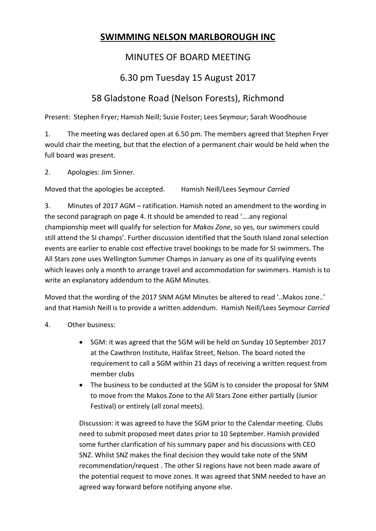## **SWIMMING NELSON MARLBOROUGH INC**

## MINUTES OF BOARD MEETING

## 6.30 pm Tuesday 15 August 2017

## 58 Gladstone Road (Nelson Forests), Richmond

Present: Stephen Fryer; Hamish Neill; Susie Foster; Lees Seymour; Sarah Woodhouse

1. The meeting was declared open at 6.50 pm. The members agreed that Stephen Fryer would chair the meeting, but that the election of a permanent chair would be held when the full board was present.

2. Apologies: Jim Sinner.

Moved that the apologies be accepted. Hamish Neill/Lees Seymour *Carried*

3. Minutes of 2017 AGM – ratification. Hamish noted an amendment to the wording in the second paragraph on page 4. It should be amended to read '….any regional championship meet will qualify for selection for *Makos Zone*, so yes, our swimmers could still attend the SI champs'. Further discussion identified that the South Island zonal selection events are earlier to enable cost effective travel bookings to be made for SI swimmers. The All Stars zone uses Wellington Summer Champs in January as one of its qualifying events which leaves only a month to arrange travel and accommodation for swimmers. Hamish is to write an explanatory addendum to the AGM Minutes.

Moved that the wording of the 2017 SNM AGM Minutes be altered to read '..Makos zone..' and that Hamish Neill is to provide a written addendum. Hamish Neill/Lees Seymour *Carried*

- 4. Other business:
	- SGM: it was agreed that the SGM will be held on Sunday 10 September 2017 at the Cawthron Institute, Halifax Street, Nelson. The board noted the requirement to call a SGM within 21 days of receiving a written request from member clubs
	- The business to be conducted at the SGM is to consider the proposal for SNM to move from the Makos Zone to the All Stars Zone either partially (Junior Festival) or entirely (all zonal meets).

Discussion: it was agreed to have the SGM prior to the Calendar meeting. Clubs need to submit proposed meet dates prior to 10 September. Hamish provided some further clarification of his summary paper and his discussions with CEO SNZ. Whilst SNZ makes the final decision they would take note of the SNM recommendation/request . The other SI regions have not been made aware of the potential request to move zones. It was agreed that SNM needed to have an agreed way forward before notifying anyone else.